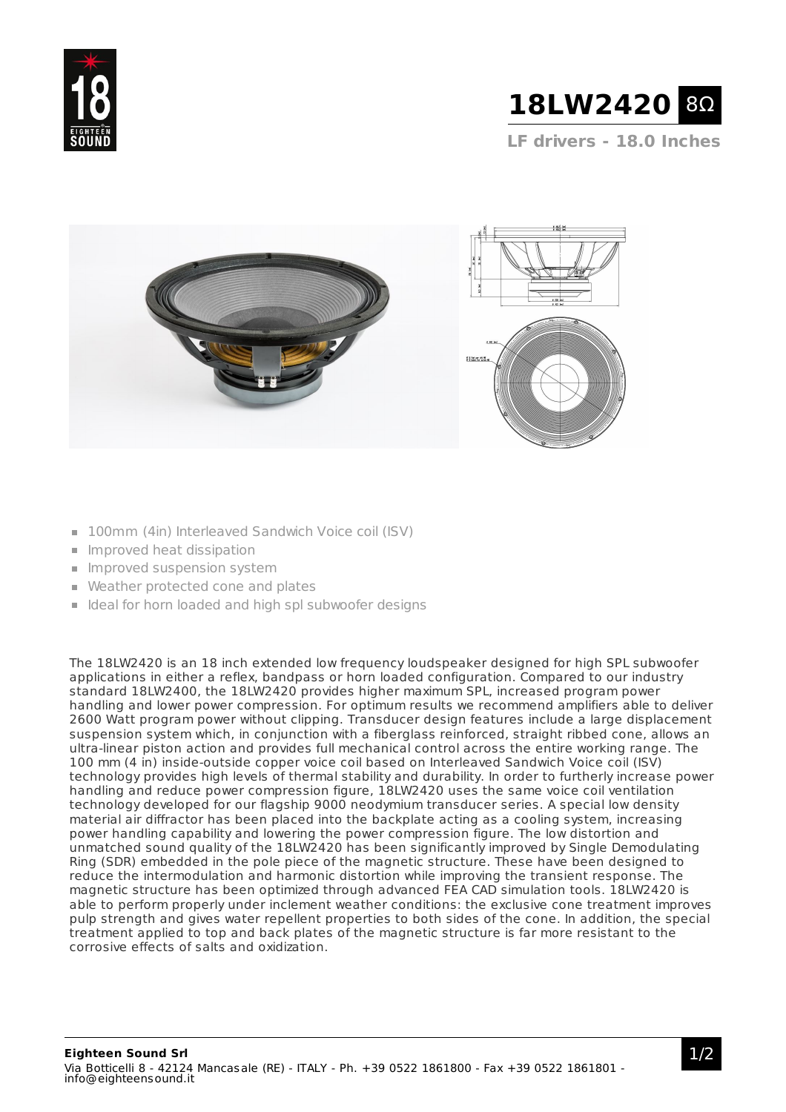



**LF drivers - 18.0 Inches**



- 100mm (4in) Interleaved Sandwich Voice coil (ISV)
- $\blacksquare$  Improved heat dissipation
- **Improved suspension system**
- Weather protected cone and plates
- I Ideal for horn loaded and high spl subwoofer designs

The 18LW2420 is an 18 inch extended low frequency loudspeaker designed for high SPL subwoofer applications in either a reflex, bandpass or horn loaded configuration. Compared to our industry standard 18LW2400, the 18LW2420 provides higher maximum SPL, increased program power handling and lower power compression. For optimum results we recommend amplifiers able to deliver 2600 Watt program power without clipping. Transducer design features include a large displacement suspension system which, in conjunction with a fiberglass reinforced, straight ribbed cone, allows an ultra-linear piston action and provides full mechanical control across the entire working range. The 100 mm (4 in) inside-outside copper voice coil based on Interleaved Sandwich Voice coil (ISV) technology provides high levels of thermal stability and durability. In order to furtherly increase power handling and reduce power compression figure, 18LW2420 uses the same voice coil ventilation technology developed for our flagship 9000 neodymium transducer series. A special low density material air diffractor has been placed into the backplate acting as a cooling system, increasing power handling capability and lowering the power compression figure. The low distortion and unmatched sound quality of the 18LW2420 has been significantly improved by Single Demodulating Ring (SDR) embedded in the pole piece of the magnetic structure. These have been designed to reduce the intermodulation and harmonic distortion while improving the transient response. The magnetic structure has been optimized through advanced FEA CAD simulation tools. 18LW2420 is able to perform properly under inclement weather conditions: the exclusive cone treatment improves pulp strength and gives water repellent properties to both sides of the cone. In addition, the special treatment applied to top and back plates of the magnetic structure is far more resistant to the corrosive effects of salts and oxidization.